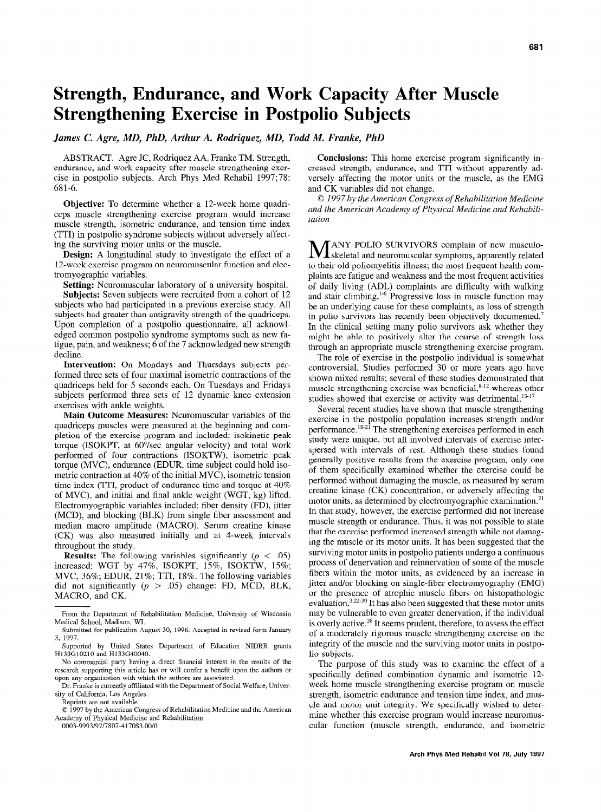# Strength, Endurance, and Work Capacity After Muscle Strengthening Exercise in Postpolio Subjects

James C. Agre, MD, PhD, Arthur A. Rodriquez, MD, Todd M. Franke, PhD

ABSTRACT. Agre JC, Rodriquez AA, Franke TM. Strength, endurance, and work capacity after muscle strengthening exercise in postpolio subjects. Arch Phys Med Rehabil 1997;78: 681-6.

Objective: To determine whether a 12-week home quadriceps muscle strengthening exercise program would increase muscle strength, isometric endurance, and tension time index (TTI) in postpolio syndrome subjects without adversely affecting the surviving motor units or the muscle.

Design: A longitudinal study to investigate the effect of a 12-week exercise program on neuromuscular function and electromyographic variables.

Setting: Neuromuscular laboratory of a university hospital.

Subjects: Seven subjects were recruited from a cohort of 12 subjects who had participated in a previous exercise study. All subjects had greater than antigravity strength of the quadriceps. Upon completion of a postpolio questionnaire, all acknowledged common postpolio syndrome symptoms such as new fatigue, pain, and weakness; 6 of the 7 acknowledged new strength decline.

Intervention: On Mondays and Thursdays subjects performed three sets of four maximal isometric contractions of the quadriceps held for 5 seconds each. On Tuesdays and Fridays subjects performed three sets of 12 dynamic knee extension exercises with ankle weights.

Main Outcome Measures: Neuromuscular variables of the quadriceps muscles were measured at the beginning and completion of the exercise program and included: isokinetic peak torque (ISOKPT, at 60"/sec angular velocity) and total work performed of four contractions (ISOKTW), isometric peak torque (MVC), endurance (EDUR, time subject could hold isometric contraction at 40% of the initial MVC), isometric tension time index (TTI, product of endurance time and torque at 40% of MVC), and initial and final ankle weight (WGT, kg) lifted. Electromyographic variables included: fiber density (FD), jitter (MCD), and blocking (BLK) from single fiber assessment and  $\mu$ median macrossime (MACRO). Served amplitude kinase kinase kinase kinase kinase kinase kinase kinase kinase kinase kinase kinase kinase kinase kinase kinase kinase kinase kinase kinase kinase kinase kinase kinase kinas  $(CT)$  matro amplitude  $(III)$  externed at 4-week intervalses (CK) was also measured initially and at 4-week intervals throughout the study.  $R_{\text{H}}$  and  $R_{\text{H}}$  and  $R_{\text{H}}$  is the significantly (p  $R_{\text{H}}$ ) (p  $R_{\text{H}}$ )

 $\frac{1}{100}$  increased: We are  $\frac{1}{100}$  and  $\frac{1}{100}$   $\frac{1}{100}$   $\frac{1}{100}$   $\frac{1}{100}$   $\frac{1}{100}$ increased: WGT by 47%, ISOKPT, 15%, ISOKTW, 15%; MVC, 36%; EDUR, 21%; TTI, 18%. The following variables did not significantly  $(p > .05)$  change: FD, MCD, BLK, MACRO, and CK.

Reprints are not available.

 $\hat{Q}$  1997 by the American Congress of Rehabilitation Medicine and the American Academy of Physical Medicine and Rehabilitation

0003-9993/97/7807-4170\$3.00/0

Conclusions: This home exercise program significantly increased strength, endurance, and TTI without apparently adversely affecting the motor units or the muscle, as the EMG and CK variables did not change.

0 1997 by the American Congress of Rehabilitation Medicine and the American Academy of Physical Medicine and Rehabilitation

**M** ANY POLIO SURVIVORS complain of new musculo-<br>Skeletal and neuromuscular symptoms, apparently related to their old poliomyelitis illness; the most frequent health complaints are fatigue and weakness and the most frequent activities of daily living (ADL) complaints are difficulty with walking and stair climbing.<sup>1-6</sup> Progressive loss in muscle function may be an underlying cause for these complaints, as loss of strength in polio survivors has recently been objectively documented.<sup>7</sup> In the clinical setting many polio survivors ask whether they might be able to positively alter the course of strength loss through an appropriate muscle strengthening exercise program.

The role of exercise in the postpolio individual is somewhat controversial. Studies performed 30 or more years ago have shown mixed results; several of these studies demonstrated that muscle strengthening exercise was beneficial,<sup>8-12</sup> whereas other studies showed that exercise or activity was detrimental.<sup>13-17</sup>

Several recent studies have shown that muscle strengthening exercise in the postpolio population increases strength and/or performance.<sup>18-21</sup> The strength ening exercises performed in each studies were unique, but all involved in the studies in the studies of exercise intervals of exercise interval study were unique, but all involved intervals of exercise inter-<br>spersed with intervals of rest. Although these studies found generally positive results from the exercise program, only one of them specifically examined whether the exercise could be performed without damaging the muscle, as measured by serum creatine kinase (CK) concentration, or adversely affecting the motor units, as determined by electromyographic examination.<sup>21</sup>  $I_{\text{tot}}$  studies are distributed by distributing by  $I_{\text{tot}}$  in the strain strain strain strain strain strain strain strain strain strain strain strain strain strain strain strain strain strain strain strain strain stra muscle strength or every the exercise performed and not increase  $t$  that the exercise performance. Thus, it was not possible to star ing the exercise performed increased strength with the dinning ing the muscle or its motor units. It has been suggested that the surviving motor units in postpolio patients undergo a continuous partiting motor anno in poolpono panomo and regio a commuted process or unitervation and reminervation or some or the muscle fibers within the motor units, as evidenced by an increase in jitter and/or blocking on single-fiber electromyography (EMG) or the presence of atrophic muscle fibers on histopathologic of the presence of alrophic muscle hoers on instopation gives  $\alpha$  be valuation,  $\alpha$  is that also been suggested that these motor unit may be vulnerable to even greater denervation, if the individual is overly active.<sup>26</sup> It seems prudent, therefore, to assess the effect of a moderately rigorous muscle strengthening exercise on the integrity of the muscle and the surviving motor units in postpolio subjects.  $\text{supp} \mathbf{c}_1$  study was to examine the effect of a study was to examine the effect of a study was to examine the effect of a study was to examine the effect of a study was to examine the effect of a study was to examine

specifically was to examine the effect of a specifically defined combination dynamic and isometric 12week home muscle strengthening exercise program on muscle strength, isometric endurance and tension time index, and muscle and motor unit integrity. We specifically wished to determine whether this exercise program would increase neuromus-<br>cular function (muscle strength, endurance, and isometric

From the Department of Rehabilitation Medicine, University of Wisconsin From the Department of F Medical School, Madison, WI.

Submitted for publication August 30, 1996. Accepted in revised form January 3, 1997.  $1997.$ 

Supported by United States Department of Education NIDRR grants H133G10210 and H133G40040.

No commercial party having a direct financial interest in the results of the research supporting this article has or will confer a benefit upon the authors or upon any organization with which the authors are associated

Dr. Franke is currently affiliated with the Department of Social Welfare, University of California. Los Angeles.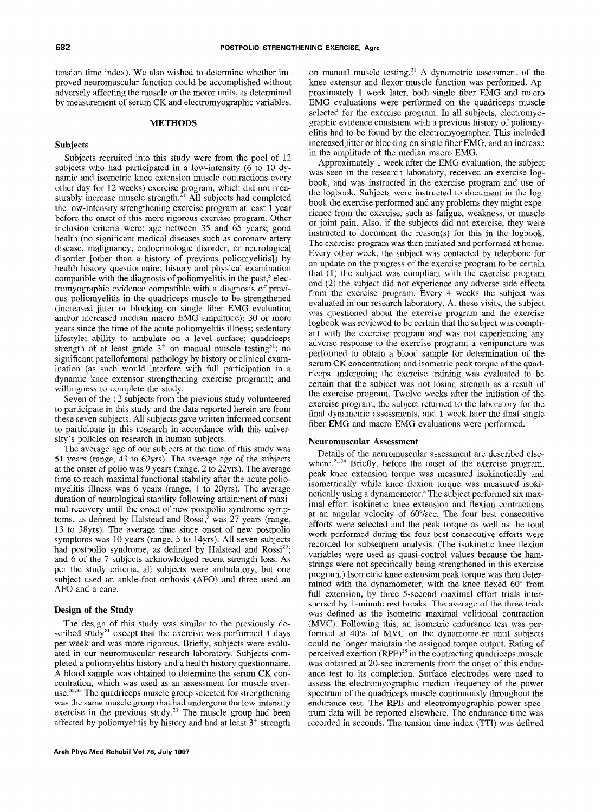tension time index). We also wished to determine whether improved neuromuscular function could be accomplished without adversely affecting the muscle or the motor units, as determined by measurement of serum CK and electromyographic variables.

## METHODS

#### Subjects

Subjects recruited into this study were from the pool of 12 subjects who had participated in a low-intensity (6 to 10 dynamic and isometric knee extension muscle contractions every other day for 12 weeks) exercise program, which did not measurably increase muscle strength.<sup>21</sup> All subjects had completed the low-intensity strengthening exercise program at least 1 year before the onset of this more rigorous exercise program. Other inclusion criteria were: age between 35 and 65 years; good health (no significant medical diseases such as coronary artery disease, malignancy, endocrinologic disorder, or neurological disorder [other than a history of previous poliomyelitis]) by health history questionnaire; history and physical examination compatible with the diagnosis of poliomyelitis in the past,<sup>5</sup> electromyographic evidence compatible with a diagnosis of previous poliomyelitis in the quadriceps muscle to be strengthened (increased jitter or blocking on single fiber EMG evaluation and/or increased median macro EMG amplitude); 30 or more years since the time of the acute poliomyelitis illness; sedentary lifestyle; ability to ambulate on a level surface; quadriceps strength of at least grade  $3^+$  on manual muscle testing<sup>31</sup>; no significant patellofemoral pathology by history or clinical examination (as such would interfere with full participation in a dynamic knee extensor strengthening exercise program); and willingness to complete the study.

Seven of the 12 subjects from the previous study volunteered to participate in this study and the data reported herein are from these seven subjects. All subjects gave written informed consent to participate in this research in accordance with this university's policies on research in human subjects.

The average age of our subjects at the time of this study was 51 years (range, 43 to 62yrs). The average age of the subjects at the onset of polio was 9 years (range, 2 to 22yrs). The average time to reach maximal functional stability after the acute poliomyelitis illness was 6 years (range, 1 to 20yrs). The average duration of neurological stability following attainment of maximal recovery until the onset of new postpolio syndrome symptoms, as defined by Halstead and  $Rossi$ ,<sup> $5$ </sup> was 27 years (range, 13 to 38yrs). The average time since onset of new postpolio symptoms was 10 years (range, 5 to 14yrs). All seven subjects had postpolio syndrome, as defined by Halstead and  $Rossi^{25}$ ; and posipono syndicine, as defined by fransieda and recent, and  $\sigma$  or the r subjects acknowledged recent such gut toss. The per the study criteria, all subjects were ambulatory, but one subject used an ankle-foot orthosis (AFO) and three used an AFO and a cane.

### Design of the Study

The design of this study was similar to the previously de- $\frac{1}{2}$  including the exercise was similar to the previously described study<sup>21</sup> except that the exercise was performed 4 days per week and was more rigorous. Briefly, subjects were evaluated in our neuromuscular research laboratory. Subjects completed a poliomyelitis history and a health history questionnaire. A blood sample was obtained to determine the serum CK concentration, which was used as an assessment for muscle overuse.<sup>32,33</sup> The quadriceps muscle group selected for strengthening was the same muscle group that had undergone the low-intensity exercise in the previous study.<sup>21</sup> The muscle group had been affected by poliomyelitis by history and had at least  $3^+$  strength on manual muscle testing. $31$  A dynametric assessment of the knee extensor and flexor muscle function was performed. Approximately 1 week later, both single fiber EMG and macro EMG evaluations were performed on the quadriceps muscle selected for the exercise program. In all subjects, electromyographic evidence consistent with a previous history of poliomyelitis had to be found by the electromyographer. This included increased jitter or blocking on single fiber EMG, and an increase in the amplitude of the median macro EMG.

Approximately 1 week after the EMG evaluation, the subject was seen in the research laboratory, received an exercise logbook, and was instructed in the exercise program and use of the logbook. Subjects were instructed to document in the logbook the exercise performed and any problems they might experience from the exercise, such as fatigue, weakness, or muscle or joint pain. Also, if the subjects did not exercise, they were instructed to document the reason(s) for this in the logbook. The exercise program was then initiated and performed at home. Every other week, the subject was contacted by telephone for an update on the progress of the exercise program to be certain that (1) the subject was compliant with the exercise program and (2) the subject did not experience any adverse side effects from the exercise program. Every 4 weeks the subject was evaluated in our research laboratory. At these visits, the subject was questioned about the exercise program and the exercise logbook was reviewed to be certain that the subject was compliant with the exercise program and was not experiencing any adverse response to the exercise program; a venipuncture was performed to obtain a blood sample for determination of the serum CK concentration; and isometric peak torque of the quadriceps undergoing the exercise training was evaluated to be certain that the subject was not losing strength as a result of the exercise program. Twelve weeks after the initiation of the exercise program, the subject returned to the laboratory for the final dynametric assessments, and 1 week later the final single fiber EMG and macro EMG evaluations were performed.

#### Neuromuscular Assessment

Details of the neuromuscular assessment are described elsewhere. $21,34$  Briefly, before the onset of the exercise program, peak knee extension torque was measured isokinetically and isometrically while knee flexion torque was measured isokinetically using a dynamometer.<sup>a</sup> The subject performed six maximal-effort isokinetic knee extension and flexion contractions at an angular velocity of 6O"/sec. The four best consecutive efforts were selected and the peak torque as well as the total work performed during the four best consecutive efforts were recorded for subsequent analysis. (The isokinetic knee flexion vector to subsequent analysis. The isoxinetic knee health variables were ased as quasi-control values occause the halfparings were not specificantly being strengthened in this exercise program, isometric knee extension peak torque was then determined with the dynamometer, with the knee flexed  $60^{\circ}$  from full extension, by three 5-second maximal effort trials interspersed by 1-minute rest breaks. The average of the three trials was defined as the isometric maximal volitional contraction (MVC). Following this, an isometric endurance test was performed at 40% of MVC on the dynamometer until subjects could no longer maintain the assigned torque output. Rating of perceived exertion (RPE)<sup>35</sup> in the contracting quadriceps muscle was obtained at 20-sec increments from the onset of this endurance test to its completion. Surface electrodes were used to assess the electromyographic median frequency of the power spectrum of the quadriceps muscle continuously throughout the endurance test. The RPE and electromyographic power spectrum data will be reported elsewhere. The endurance time was recorded in seconds. The tension time index (TTI) was defined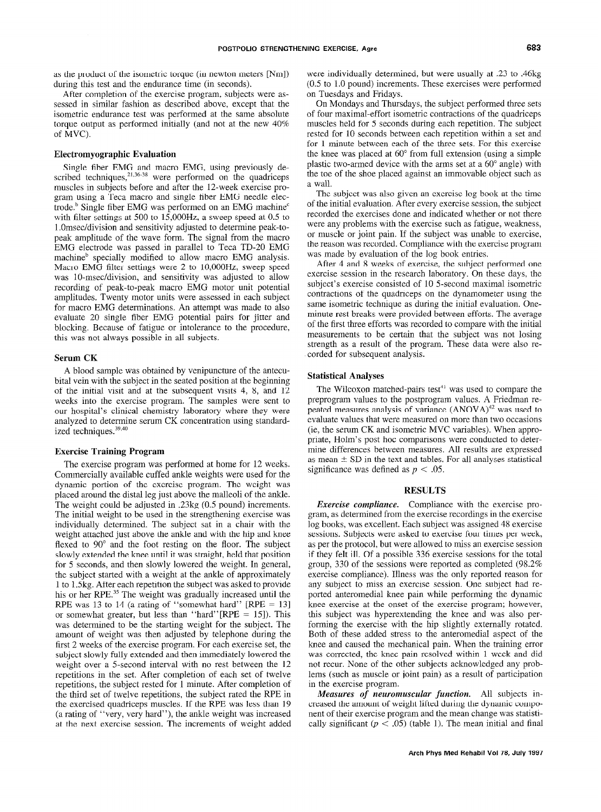as the product of the isometric torque (in newton meters [Nm]) during this test and the endurance time (in seconds).

After completion of the exercise program, subjects were assessed in similar fashion as described above, except that the isometric endurance test was performed at the same absolute torque output as performed initially (and not at the new 40% of MVC).

### Electromyographic Evaluation

Single fiber EMG and macro EMG, using previously described techniques,  $21,36-38$  were performed on the quadricens muscles in subjects before and after the 12-week exercise program using a Teca macro and single fiber EMG needle electrode. $b$  Single fiber EMG was performed on an EMG machine<sup>c</sup> with filter settings at 500 to 15,00OHz, a sweep speed at 0.5 to 1 .Omsec/division and sensitivity adjusted to determine peak-topeak amplitude of the wave form. The signal from the macro EMG electrode was passed in parallel to Teca TD-20 EMG machine<sup>b</sup> specially modified to allow macro EMG analysis. Macro EMG filter settings were 2 to lO,OOOHz, sweep speed was 10-msec/division, and sensitivity was adjusted to allow recording of peak-to-peak macro EMG motor unit potential amplitudes. Twenty motor units were assessed in each subject for macro EMG determinations. An attempt was made to also evaluate 20 single fiber EMG potential pairs for jitter and blocking. Because of fatigue or intolerance to the procedure, this was not always possible in all subjects.

#### Serum CK

A blood sample was obtained by venipuncture of the antecubital vein with the subject in the seated position at the beginning of the initial visit and at the subsequent visits 4, 8, and 12 weeks into the exercise program. The samples were sent to our hospital's clinical chemistry laboratory where they were analyzed to determine serum CK concentration using standardized techniques.<sup>39,40</sup>

### Exercise Training Program

The exercise program was performed at home for 12 weeks. Commercially available cuffed ankle weights were used for the dynamic portion of the exercise program. The weight was placed around the distal leg just above the malleoli of the ankle. The weight could be adjusted in .23kg (0.5 pound) increments. The initial weight to be used in the strengthening exercise was individually determined. The subject sat in a chair with the weight attached just above the ankle and with the hip and knee flexed to 90° and the foot resting on the floor. The subject slowly extended the knee until it was straight, held that position  $f(x)$  showly candidate the kind then set was straight, from that position tor subcomes, and then stowly fowered the weight. In general the subject statical with a weight at the ansie of approximately his or her RPE.35 The weight was gradually increased until the his or her RPE.<sup>35</sup> The weight was gradually increased until the RPE was 13 to 14 (a rating of "somewhat hard" [RPE = 13] or somewhat had greater than  $\frac{1}{2}$ . of somewhat greater, but less than  $\lim_{n \to \infty} \frac{\ln(n+1)}{n}$  for  $\lim_{n \to \infty} \frac{\ln(n+1)}{n}$ was determined to be the starting weight for the subject. The amount of weight was then adjusted by telephone during the first 2 weeks of the exercise program. For each exercise set, the subject slowly fully extended and then immediately lowered the weight over a 5-second interval with no rest between the 12 repetitions in the set. After completion of each set of twelve repetitions, the subject rested for  $1$  minute. After completion of the third set of twelve repetitions, the subject rated the RPE in the exercised quadriceps muscles. If the RPE was less than 19 (a rating of "very, very hard"), the ankle weight was increased<br>at the next exercise session. The increments of weight added

were individually determined, but were usually at .23 to .46kg (0.5 to 1.0 pound) increments. These exercises were performed on Tuesdays and Fridays.

On Mondays and Thursdays, the subject performed three sets of four maximal-effort isometric contractions of the quadriceps muscles held for 5 seconds during each repetition. The subject rested for 10 seconds between each repetition within a set and for 1 minute between each of the three sets. For this exercise the knee was placed at  $60^{\circ}$  from full extension (using a simple plastic two-armed device with the arms set at a 60" angle) with the toe of the shoe placed against an immovable object such as a wall.

The subject was also given an exercise log book at the time of the initial evaluation. After every exercise session, the subject recorded the exercises done and indicated whether or not there were any problems with the exercise such as fatigue, weakness, or muscle or joint pain. If the subject was unable to exercise, the reason was recorded. Compliance with the exercise program was made by evaluation of the log book entries.

After 4 and 8 weeks of exercise, the subject performed one exercise session in the research laboratory. On these days, the subject's exercise consisted of 10 5-second maximal isometric contractions of the quadriceps on the dynamometer using the same isometric technique as during the initial evaluation. Oneminute rest breaks were provided between efforts. The average of the first three efforts was recorded to compare with the initial measurements to be certain that the subject was not losing strength as a result of the program. These data were also recorded for subsequent analysis.

# Statistical Analyses

The Wilcoxon matched-pairs test $4$ <sup>1</sup> was used to compare the preprogram values to the postprogram values. A Friedman repeated measures analysis of variance (ANOVA)<sup>42</sup> was used to evaluate values that were measured on more than two occasions (ie, the serum CK and isometric MVC variables). When appropriate, Holm's post hoc comparisons were conducted to determine differences between measures. All results are expressed as mean  $\pm$  SD in the text and tables. For all analyses statistical significance was defined as  $p < .05$ .

## **RESULTS**

Exercise compliance. Compliance with the exercise program, as determined from the exercise recordings in the exercise log books, was excellent. Each subject was assigned 48 exercise sessions. Subjects were asked to exercise four times per week, as per the protocol, but were allowed to miss an exercise session if they felt ill. Of a possible 336 exercise sessions for the total group, 330 of the sessions were reported as completed (98.2% exercise compliance). Illness was the only reported reason for any subject to miss an exercise session. One subject had reported anteromedial knee pain while performing the dynamic knee exercise at the onset of the exercise program; however, this subject was hyperextending the knee and was also performing the exercise with the hip slightly externally rotated. Forming the exercise with the mp sugntry externally rotated. bom of more and caused to me and omening aspect of me where and caused the incontinuous pain. Then the truming critic was corrected, the knee pain resorved within a week and dr not recur. None of the other subjects acknowledged any problems (such as muscle or joint pain) as a result of participation<br>in the exercise program.  $\frac{M}{2}$ 

measures of neuromuscular function. All subjects if creased the amount of weight lifted during the dynamic component of their exercise program and the mean change was statistically significant ( $p < .05$ ) (table 1). The mean initial and final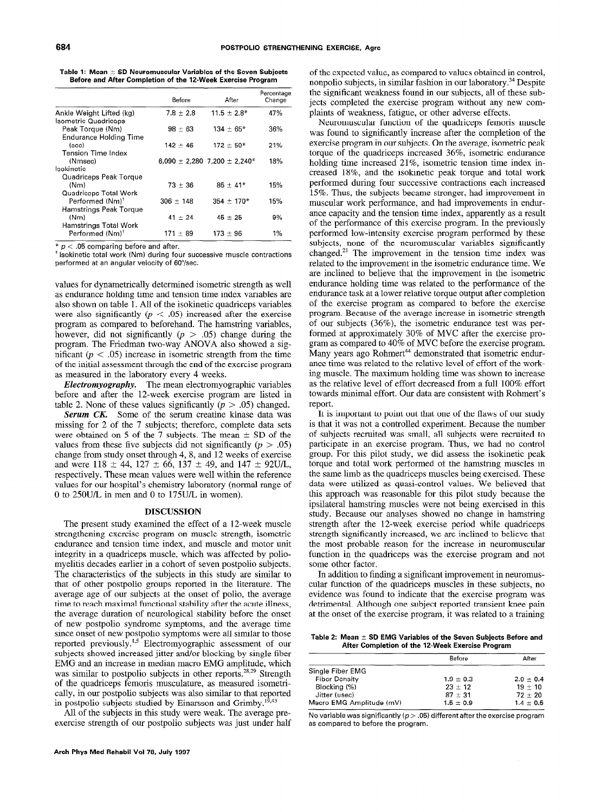Table 1: Mean  $\pm$  SD Neuromuscular Variables of the Seven Subjects Before and After Completion of the 12-Week Exercise Program

|                                                                                       | Before        | After                                            | Percentage<br>Change |
|---------------------------------------------------------------------------------------|---------------|--------------------------------------------------|----------------------|
| Ankle Weight Lifted (kg)<br>Isometric Quadriceps                                      | $7.8 \pm 2.8$ | $11.5 \pm 2.8^*$                                 | 47%                  |
| Peak Torque (Nm)<br><b>Endurance Holding Time</b>                                     | $98 \pm 63$   | $134 \pm 65*$                                    | 36%                  |
| (sec)<br>Tension Time Index                                                           | $142 + 46$    | $172 \pm 50*$                                    | 21%                  |
| (Nmsec)<br>Isokinetic                                                                 |               | $6,090 \pm 2,280$ 7,200 $\pm$ 2,240 <sup>*</sup> | 18%                  |
| Quadriceps Peak Torque<br>(Nm)                                                        | $73 + 36$     | $85 \pm 41*$                                     | 15%                  |
| <b>Quadriceps Total Work</b><br>Performed (Nm) <sup>+</sup><br>Hamstrings Peak Torque | $306 + 148$   | $354 + 170*$                                     | 15%                  |
| (Nm)<br>Hamstrings Total Work                                                         | $41 \pm 24$   | $45 \pm 25$                                      | 9%                   |
| Performed (Nm) <sup>+</sup>                                                           | $171 + 89$    | $173 \pm 96$                                     | 1%                   |

 $* p < .05$  comparing before and after.

+ lsokinetic total work (Nm) during four successive muscle contractions performed at an angular velocity of 60"/sec.

values for dynametrically determined isometric strength as well as endurance holding time and tension time index variables are also shown on table 1. All of the isokinetic quadriceps variables were also significantly  $(p < .05)$  increased after the exercise program as compared to beforehand. The hamstring variables, however, did not significantly ( $p > .05$ ) change during the program. The Friedman two-way ANOVA also showed a significant ( $p < .05$ ) increase in isometric strength from the time of the initial assessment through the end of the exercise program as measured in the laboratory every 4 weeks.

**Electromyography.** The mean electromyographic variables before and after the 12-week exercise program are listed in table 2. None of these values significantly ( $p > .05$ ) changed.

Serum CK. Some of the serum creatine kinase data was missing for 2 of the 7 subjects; therefore, complete data sets were obtained on 5 of the 7 subjects. The mean  $\pm$  SD of the values from these five subjects did not significantly ( $p > .05$ ) change from study onset through 4,8, and 12 weeks of exercise and were  $118 \pm 44$ ,  $127 \pm 66$ ,  $137 \pm 49$ , and  $147 \pm 92$ U/L, respectively. These mean values were well within the reference values for our hospital's chemistry laboratory (normal range of 0 to 25OU/L in men and 0 to 175U/L in women).

#### DISCUSSION

 $T$  present study examined the effect of a  $12-12-12$ strengthening examined the effect of a 12 week mases en enginemig exercise program on masere such and motories integrated and tension time muscle, and muscle and motor and integrity in a quadriceps muscle, which was affected by poliomyelitis decades earlier in a cohort of seven postpolio subjects. The characteristics of the subjects in this study are similar to that of other postpolio groups reported in the literature. The average age of our subjects at the onset of polio, the average time to reach maximal functional stability after the acute illness, the average duration of neurological stability before the onset of new postpolio syndrome symptoms, and the average time since onset of new postpolio symptoms were all similar to those since onset of new postpono symptoms were all similar to mose reported previously. Electromyographic assessment of our subjects showed increased jitter and/or blocking by single fiber EMG and an increase in median macro EMG amplitude, which was similar to postpolio subjects in other reports.<sup>28,29</sup> Strength of the quadriceps femoris musculature, as measured isometrically, in our postpolio subjects was also similar to that reported in postpolio subjects studied by Einarsson and Grimby.<sup>15,43</sup>

All of the subjects in this study were weak. The average pre-exercise strength of our postpolio subjects was just under half

of the expected value, as compared to values obtained in control, nonpolio subjects, in similar fashion in our laboratory.34 Despite the significant weakness found in our subjects, all of these subjects completed the exercise program without any new complaints of weakness, fatigue, or other adverse effects.

Neuromuscular function of the quadriceps femoris muscle was found to significantly increase after the completion of the exercise program in our subjects. On the average, isometric peak torque of the quadriceps increased 36%, isometric endurance holding time increased 21%, isometric tension time index increased 18%, and the isokinetic peak torque and total work performed during four successive contractions each increased 15%. Thus, the subjects became stronger, had improvement in muscular work performance, and had improvements in endurance capacity and the tension time index, apparently as a result of the performance of this exercise program. In the previously performed low-intensity exercise program performed by these subjects, none of the neuromuscular variables significantly changed.21 The improvement in the tension time index was related to the improvement in the isometric endurance time. We are inclined to believe that the improvement in the isometric endurance holding time was related to the performance of the endurance task at a lower relative torque output after completion of the exercise program as compared to before the exercise program. Because of the average increase in isometric strength of our subjects (36%), the isometric endurance test was performed at approximately 30% of MVC after the exercise program as compared to 40% of MVC before the exercise program. Many years ago Rohmert<sup>44</sup> demonstrated that isometric endurance time was related to the relative level of effort of the working muscle. The maximum holding time was shown to increase as the relative level of effort decreased from a full 100% effort towards minimal effort. Our data are consistent with Rohmert's report.

It is important to point out that one of the flaws of our study is that it was not a controlled experiment. Because the number of subjects recruited was small, all subjects were recruited to participate in an exercise program. Thus, we had no control group. For this pilot study, we did assess the isokinetic peak torque and total work performed of the hamstring muscles in the same limb as the quadriceps muscles being exercised. These data were utilized as quasi-control values. We believed that this approach was reasonable for this pilot study because the ipsilateral hamstring muscles were not being exercised in this study. Because our analyses showed no change in hamstring  $s_{\text{t}}$  strength and  $\frac{1}{2}$  which were no energy in namentum such guardiant the 12-week exercise period while quadrice ps outing in organizative increased, we are increased to believe in function in the model is the exercise was the exercise was the exercise program and not exercise was the exercise program and not exercise was the exercise was the exercise was the model of the exercise was the model of th function in the quadriceps was the exercise program and not some other factor. In a significant in the finding and  $\frac{1}{2}$  significant in  $\frac{1}{2}$  significant in  $\frac{1}{2}$  significant in  $\frac{1}{2}$ 

m addition to the angular function in the muscles in the subjects. cular function of the quadriceps muscles in these subjects, no evidence was found to indicate that the exercise program was detrimental. Although one subject reported transient knee pain<br>at the onset of the exercise program, it was related to a training

viean  $\pm$  5D Eivig variables of the 5even Subjects After Completion of the 12-Week Exercise Program

| Before        | After         |  |
|---------------|---------------|--|
|               |               |  |
| $1.9 \pm 0.3$ | $2.0 \pm 0.4$ |  |
| $23 \pm 12$   | $19 + 10$     |  |
| $87 + 31$     | $72 \pm 20$   |  |
| $1.5 \pm 0.9$ | $1.4 \pm 0.5$ |  |
|               |               |  |

 $\overline{\phantom{a}}$ No variable was significantly ( $p$   $>$  .05) different after the exercise program.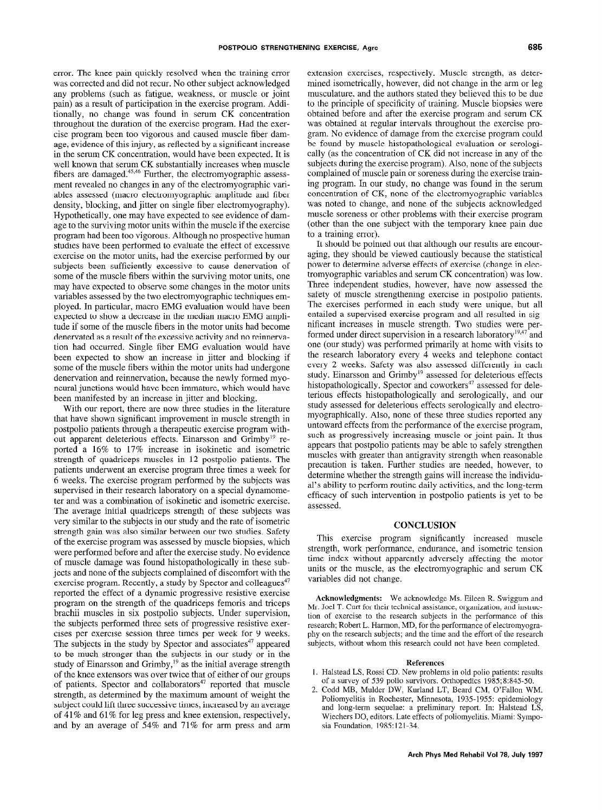error. The knee pain quickly resolved when the training error was corrected and did not recur. No other subject acknowledged any problems (such as fatigue, weakness, or muscle or joint pain) as a result of participation in the exercise program. Additionally, no change was found in serum CK concentration throughout the duration of the exercise program. Had the exercise program been too vigorous and caused muscle fiber damage, evidence of this injury, as reflected by a significant increase in the serum CK concentration, would have been expected. It is well known that serum CK substantially increases when muscle fibers are damaged.<sup>45,46</sup> Further, the electromyographic assessment revealed no changes in any of the electromyographic variables assessed (macro electromyographic amplitude and fiber density, blocking, and jitter on single fiber electromyography). Hypothetically, one may have expected to see evidence of damage to the surviving motor units within the muscle if the exercise program had been too vigorous. Although no prospective human studies have been performed to evaluate the effect of excessive exercise on the motor units, had the exercise performed by our subjects been sufficiently excessive to cause denervation of some of the muscle fibers within the surviving motor units, one may have expected to observe some changes in the motor units variables assessed by the two electromyographic techniques employed. In particular, macro EMG evaluation would have been expected to show a decrease in the median macro EMG amplitude if some of the muscle fibers in the motor units had become denervated as a result of the excessive activity and no reinnervation had occurred. Single fiber EMG evaluation would have been expected to show an increase in jitter and blocking if some of the muscle fibers within the motor units had undergone denervation and reinnervation, because the newly formed myoneural junctions would have been immature, which would have been manifested by an increase in jitter and blocking.

With our report, there are now three studies in the literature that have shown significant improvement in muscle strength in postpolio patients through a therapeutic exercise program without apparent deleterious effects. Einarsson and Grimby<sup>19</sup> reported a 16% to 17% increase in isokinetic and isometric strength of quadriceps muscles in 12 postpolio patients. The patients underwent an exercise program three times a week for 6 weeks. The exercise program performed by the subjects was supervised in their research laboratory on a special dynamometer and was a combination of isokinetic and isometric exercise. The average in  $\frac{1}{2}$  defined the subject of the theoretical quadrice subjects was subjected to the subject of the subjects was subjected to the subject of the subject of the subject of the subject of the subject of th ine average miliar quadricips strength of these subjects was very similar to the subjects in our study and the rate of isometric strength gain was also similar between our two studies. Safety of the exercise program was assessed by muscle biopsies, which were performed before and after the exercise study. No evidence  $\sum_{i=1}^{n}$  muscle damage was found historically in the subof muscle damage was found instepantologically in these subjects and none of the subjects complained of discomfort with the exercise program. Recently, a study by Spector and colleagues $47$ exercise program. Recently, a study by operate and concagues program on the strength of the strength of the strength of the strength of the strength of the strength of the strength of the strength of the strength of the strength of the strength of the strength of the strength of the program on the strength of the quadriceps femoris and triceps. brachii muscles in six postpolio subjects. Under supervision, the subjects performed three sets of progressive resistive exercises per exercise session three times per week for 9 weeks. The spectrum substitution in the study by Spectrum and associates when a study is the study of  $\frac{47}{47}$ the subjects in the study by spector and associates appeared to be much stronger than the subjects in our study or in the study of Einarsson and Grimby,<sup>19</sup> as the initial average strength of the knee extensors was over twice that of either of our groups of patients. Spector and collaborators<sup>47</sup> reported that muscle strength, as determined by the maximum amount of weight the subject could lift three successive times, increased by an average of 41% and 61% for leg press and knee extension, respectively, and by an average of  $54\%$  and  $71\%$  for arm press and arm extension exercises, respectively. Muscle strength, as determined isometrically, however, did not change in the arm or leg musculature, and the authors stated they believed this to be due to the principle of specificity of training. Muscle biopsies were obtained before and after the exercise program and serum CK was obtained at regular intervals throughout the exercise program. No evidence of damage from the exercise program could be found by muscle histopathological evaluation or serologically (as the concentration of CK did not increase in any of the subjects during the exercise program). Also, none of the subjects complained of muscle pain or soreness during the exercise training program. In our study, no change was found in the serum concentration of CK, none of the electromyographic variables was noted to change, and none of the subjects acknowledged muscle soreness or other problems with their exercise program (other than the one subject with the temporary knee pain due to a training error).

It should be pointed out that although our results are encouraging, they should be viewed cautiously because the statistical power to determine adverse effects of exercise (change in electromyographic variables and serum CK concentration) was low. Three independent studies, however, have now assessed the safety of muscle strengthening exercise in postpolio patients. The exercises performed in each study were unique, but all entailed a supervised exercise program and all resulted in significant increases in muscle strength. Two studies were performed under direct supervision in a research laboratory<sup>19,47</sup> and one (our study) was performed primarily at home with visits to the research laboratory every 4 weeks and telephone contact every 2 weeks. Safety was also assessed differently in each study. Einarsson and Grimby<sup>19</sup> assessed for deleterious effects histopathologically, Spector and coworkers<sup>47</sup> assessed for deleterious effects histopathologically and serologically, and our study assessed for deleterious effects serologically and electromyographically. Also, none of these three studies reported any untoward effects from the performance of the exercise program, such as progressively increasing muscle or joint pain. It thus appears that postpolio patients may be able to safely strengthen muscles with greater than antigravity strength when reasonable precaution is taken. Further studies are needed, however, to determine whether the strength gains will increase the individual's ability to perform routine daily activities, and the long-term efficacy of such intervention in postpolio patients is yet to be assessed.

# **CONCLUSION**

This exercise program significantly increased muscle strength, work performance, endurance, and isometric tension the index with the motor community and motor and motion the motor unit must wunder apparting adversely arretting the motor units or the muscle, as the electromyographic and serum CK variables did not change.

Acknowledgments: We acknowledge Ms. Eileen R. Swiggum and **ACKHOWICUGHICHIS.** We acknowledge MS. Effect K. Swigguin a Mr. Joel T. Curt for their technical assistance, organization, and instruction of exercise to the research subjects in the performance of this research; Robert L. Harmon, MD, for the performance of electromyography on the research subjects; and the time and the effort of the research subjects, without whom this research could not have been completed.

#### References  $1.1.1$   $\mu$  and  $1.1.1$   $\mu$  policies:  $r = 0.00$

- rialistical  $L_3$ , Nossi CD. New problems in old polio patients. of a survey of 539 polio survivors. Orthopedics 1985; 8:845-50.
- Codd MB, Mulder DW, Kurland LT, Beard CM, O'Fallon WM. Poliomyelitis in Rochester, Minnesota, 1935-1955: epidemiology and long-term sequelae: a preliminary report. In: Halstead LS, Wiechers DO, editors. Late effects of poliomyelitis. Miami: Symposia Foundation, 1985:121-34.